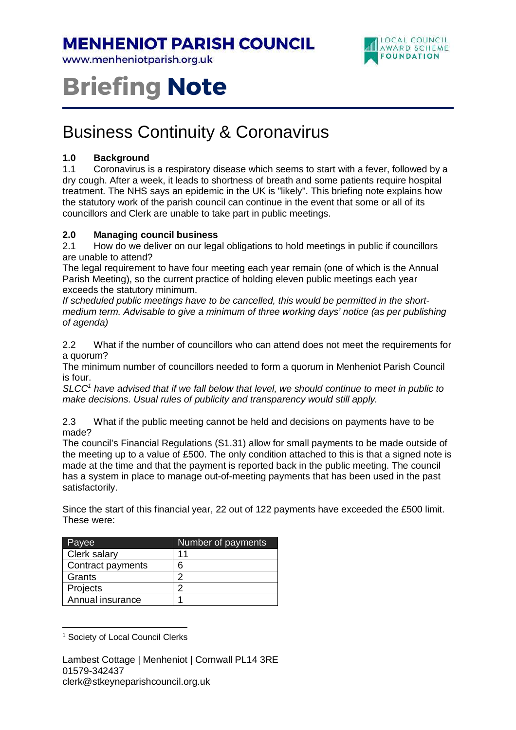### **MENHENIOT PARISH COUNCIL**

www.menheniotparish.org.uk



# **Briefing Note**

## Business Continuity & Coronavirus

#### **1.0 Background**

1.1 Coronavirus is a respiratory disease which seems to start with a fever, followed by a dry cough. After a week, it leads to shortness of breath and some patients require hospital treatment. The NHS says an epidemic in the UK is "likely". This briefing note explains how the statutory work of the parish council can continue in the event that some or all of its councillors and Clerk are unable to take part in public meetings.

#### **2.0 Managing council business**

2.1 How do we deliver on our legal obligations to hold meetings in public if councillors are unable to attend?

The legal requirement to have four meeting each year remain (one of which is the Annual Parish Meeting), so the current practice of holding eleven public meetings each year exceeds the statutory minimum.

If scheduled public meetings have to be cancelled, this would be permitted in the shortmedium term. Advisable to give a minimum of three working days' notice (as per publishing of agenda)

2.2 What if the number of councillors who can attend does not meet the requirements for a quorum?

The minimum number of councillors needed to form a quorum in Menheniot Parish Council is four.

SLCC<sup>1</sup> have advised that if we fall below that level, we should continue to meet in public to make decisions. Usual rules of publicity and transparency would still apply.

2.3 What if the public meeting cannot be held and decisions on payments have to be made?

The council's Financial Regulations (S1.31) allow for small payments to be made outside of the meeting up to a value of £500. The only condition attached to this is that a signed note is made at the time and that the payment is reported back in the public meeting. The council has a system in place to manage out-of-meeting payments that has been used in the past satisfactorily.

Since the start of this financial year, 22 out of 122 payments have exceeded the £500 limit. These were:

| Payee             | Number of payments |
|-------------------|--------------------|
| Clerk salary      | 11                 |
| Contract payments | 6                  |
| Grants            | າ                  |
| Projects          | ◠                  |
| Annual insurance  |                    |

<sup>&</sup>lt;sup>1</sup> Society of Local Council Clerks

 $\overline{a}$